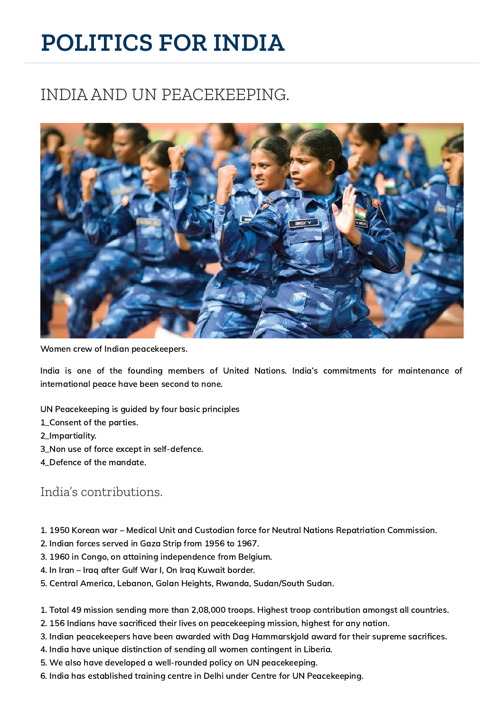# **POLITICS FOR INDIA**

## INDIA AND UN PEACEKEEPING.



Women crew of Indian peacekeepers.

India is one of the founding members of United Nations. India's commitments for maintenance of international peace have been second to none.

- UN Peacekeeping is guided by four basic principles
- 1\_Consent of the parties.
- 2\_Impartiality.
- 3\_Non use of force except in self-defence.
- 4\_Defence of the mandate.

#### India's contributions.

- 1. 1950 Korean war Medical Unit and Custodian force for Neutral Nations Repatriation Commission.
- 2. Indian forces served in Gaza Strip from 1956 to 1967.
- 3. 1960 in Congo, on attaining independence from Belgium.
- 4. In Iran Iraq after Gulf War I, On Iraq Kuwait border.
- 5. Central America, Lebanon, Golan Heights, Rwanda, Sudan/South Sudan.
- 1. Total 49 mission sending more than 2,08,000 troops. Highest troop contribution amongst all countries.
- 2. 156 Indians have sacrificed their lives on peacekeeping mission, highest for any nation.
- 3. Indian peacekeepers have been awarded with Dag Hammarskjold award for their supreme sacrifices.
- 4. India have unique distinction of sending all women contingent in Liberia.
- 5. We also have developed a well-rounded policy on UN peacekeeping.
- 6. India has established training centre in Delhi under Centre for UN Peacekeeping.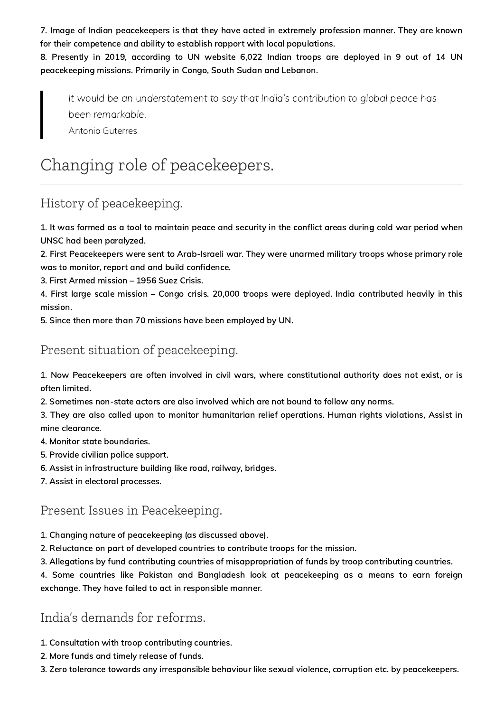7. Image of Indian peacekeepers is that they have acted in extremely profession manner. They are known for their competence and ability to establish rapport with local populations.

8. Presently in 2019, according to UN website 6,022 Indian troops are deployed in 9 out of 14 UN peacekeeping missions. Primarily in Congo, South Sudan and Lebanon.

It would be an understatement to say that India's contribution to global peace has been remarkable. Antonio Guterres

# Changing role of peacekeepers.

## History of peacekeeping.

1. It was formed as a tool to maintain peace and security in the conflict areas during cold war period when UNSC had been paralyzed.

2. First Peacekeepers were sent to Arab-Israeli war. They were unarmed military troops whose primary role was to monitor, report and and build confidence.

3. First Armed mission – 1956 Suez Crisis.

4. First large scale mission – Congo crisis. 20,000 troops were deployed. India contributed heavily in this mission.

5. Since then more than 70 missions have been employed by UN.

### Present situation of peacekeeping.

1. Now Peacekeepers are often involved in civil wars, where constitutional authority does not exist, or is often limited.

2. Sometimes non-state actors are also involved which are not bound to follow any norms.

3. They are also called upon to monitor humanitarian relief operations. Human rights violations, Assist in mine clearance.

- 4. Monitor state boundaries.
- 5. Provide civilian police support.
- 6. Assist in infrastructure building like road, railway, bridges.
- 7. Assist in electoral processes.

#### Present Issues in Peacekeeping.

- 1. Changing nature of peacekeeping (as discussed above).
- 2. Reluctance on part of developed countries to contribute troops for the mission.
- 3. Allegations by fund contributing countries of misappropriation of funds by troop contributing countries.

4. Some countries like Pakistan and Bangladesh look at peacekeeping as a means to earn foreign exchange. They have failed to act in responsible manner.

#### India's demands for reforms.

- 1. Consultation with troop contributing countries.
- 2. More funds and timely release of funds.
- 3. Zero tolerance towards any irresponsible behaviour like sexual violence, corruption etc. by peacekeepers.